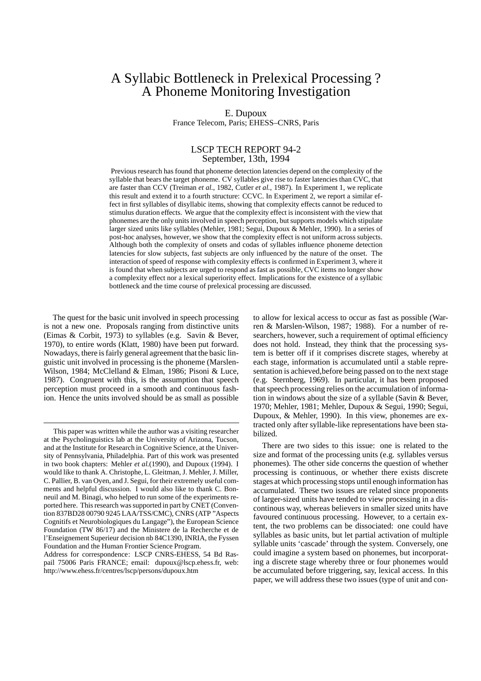# A Syllabic Bottleneck in Prelexical Processing ? A Phoneme Monitoring Investigation

E. Dupoux France Telecom, Paris; EHESS–CNRS, Paris

# LSCP TECH REPORT 94-2 September, 13th, 1994

Previous research has found that phoneme detection latencies depend on the complexity of the syllable that bears the target phoneme. CV syllables give rise to faster latencies than CVC, that are faster than CCV (Treiman *et al.*, 1982, Cutler *et al.*, 1987). In Experiment 1, we replicate this result and extend it to a fourth structure: CCVC. In Experiment 2, we report a similar effect in first syllables of disyllabic items, showing that complexity effects cannot be reduced to stimulus duration effects. We argue that the complexity effect is inconsistent with the view that phonemes are the only unitsinvolved in speech perception, butsupports models which stipulate larger sized units like syllables (Mehler, 1981; Segui, Dupoux & Mehler, 1990). In a series of post-hoc analyses, however, we show that the complexity effect is not uniform across subjects. Although both the complexity of onsets and codas of syllables influence phoneme detection latencies for slow subjects, fast subjects are only influenced by the nature of the onset. The interaction of speed of response with complexity effects is confirmed in Experiment 3, where it is found that when subjects are urged to respond as fast as possible, CVC items no longer show a complexity effect nor a lexical superiority effect. Implications for the existence of a syllabic bottleneck and the time course of prelexical processing are discussed.

The quest for the basic unit involved in speech processing is not a new one. Proposals ranging from distinctive units (Eimas & Corbit, 1973) to syllables (e.g. Savin & Bever, 1970), to entire words (Klatt, 1980) have been put forward. Nowadays, there is fairly general agreement that the basic linguistic unit involved in processing is the phoneme (Marslen-Wilson, 1984; McClelland & Elman, 1986; Pisoni & Luce, 1987). Congruent with this, is the assumption that speech perception must proceed in a smooth and continuous fashion. Hence the units involved should be as small as possible to allow for lexical access to occur as fast as possible (Warren & Marslen-Wilson, 1987; 1988). For a number of researchers, however, such a requirement of optimal efficiency does not hold. Instead, they think that the processing system is better off if it comprises discrete stages, whereby at each stage, information is accumulated until a stable representation is achieved,before being passed on to the next stage (e.g. Sternberg, 1969). In particular, it has been proposed that speech processing relies on the accumulation of information in windows about the size of a syllable (Savin & Bever, 1970; Mehler, 1981; Mehler, Dupoux & Segui, 1990; Segui, Dupoux, & Mehler, 1990). In this view, phonemes are extracted only after syllable-like representations have been stabilized.

There are two sides to this issue: one is related to the size and format of the processing units (e.g. syllables versus phonemes). The other side concerns the question of whether processing is continuous, or whether there exists discrete stages at which processing stops until enough information has accumulated. These two issues are related since proponents of larger-sized units have tended to view processing in a discontinous way, whereas believers in smaller sized units have favoured continuous processing. However, to a certain extent, the two problems can be dissociated: one could have syllables as basic units, but let partial activation of multiple syllable units 'cascade' through the system. Conversely, one could imagine a system based on phonemes, but incorporating a discrete stage whereby three or four phonemes would be accumulated before triggering, say, lexical access. In this paper, we will address these two issues (type of unit and con-

This paper was written while the author was a visiting researcher at the Psycholinguistics lab at the University of Arizona, Tucson, and at the Institute for Research in Cognitive Science, at the University of Pennsylvania, Philadelphia. Part of this work was presented in two book chapters: Mehler *et al.*(1990), and Dupoux (1994). I would like to thank A. Christophe, L. Gleitman, J. Mehler, J. Miller, C. Pallier, B. van Oyen, and J. Segui, for their extremely useful comments and helpful discussion. I would also like to thank C. Bonneuil and M. Binagi, who helped to run some of the experiments reported here. This research was supported in part by CNET (Convention 837BD28 00790 9245 LAA/TSS/CMC), CNRS (ATP "Aspects Cognitifs et Neurobiologiques du Langage"), the European Science Foundation (TW 86/17) and the Ministere de la Recherche et de l'Enseignement Superieur decision nb 84C1390, INRIA, the Fyssen Foundation and the Human Frontier Science Program.

Address for correspondence: LSCP CNRS-EHESS, 54 Bd Raspail 75006 Paris FRANCE; email: dupoux@lscp.ehess.fr, web: http://www.ehess.fr/centres/lscp/persons/dupoux.htm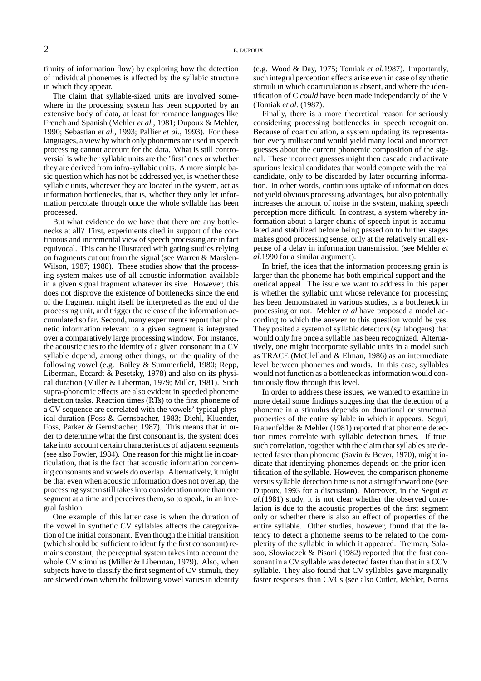tinuity of information flow) by exploring how the detection of individual phonemes is affected by the syllabic structure in which they appear.

The claim that syllable-sized units are involved somewhere in the processing system has been supported by an extensive body of data, at least for romance languages like French and Spanish (Mehler *et al.*, 1981; Dupoux & Mehler, 1990; Sebastian *et al.*, 1993; Pallier *et al.*, 1993). For these languages, a viewby which only phonemes are used in speech processing cannot account for the data. What is still controversial is whether syllabic units are the 'first' ones or whether they are derived from infra-syllabic units. A more simple basic question which has not be addressed yet, is whether these syllabic units, wherever they are located in the system, act as information bottlenecks, that is, whether they only let information percolate through once the whole syllable has been processed.

But what evidence do we have that there are any bottlenecks at all? First, experiments cited in support of the continuous and incremental view of speech processing are in fact equivocal. This can be illustrated with gating studies relying on fragments cut out from the signal (see Warren & Marslen-Wilson, 1987; 1988). These studies show that the processing system makes use of all acoustic information available in a given signal fragment whatever its size. However, this does not disprove the existence of bottlenecks since the end of the fragment might itself be interpreted as the end of the processing unit, and trigger the release of the information accumulated so far. Second, many experiments report that phonetic information relevant to a given segment is integrated over a comparatively large processing window. For instance, the acoustic cues to the identity of a given consonant in a CV syllable depend, among other things, on the quality of the following vowel (e.g. Bailey & Summerfield, 1980; Repp, Liberman, Eccardt & Pesetsky, 1978) and also on its physical duration (Miller & Liberman, 1979; Miller, 1981). Such supra-phonemic effects are also evident in speeded phoneme detection tasks. Reaction times (RTs) to the first phoneme of a CV sequence are correlated with the vowels' typical physical duration (Foss & Gernsbacher, 1983; Diehl, Kluender, Foss, Parker & Gernsbacher, 1987). This means that in order to determine what the first consonant is, the system does take into account certain characteristics of adjacent segments (see also Fowler, 1984). One reason for this might lie in coarticulation, that is the fact that acoustic information concerning consonants and vowels do overlap. Alternatively,it might be that even when acoustic information does not overlap, the processing system still takes into consideration more than one segment at a time and perceives them, so to speak, in an integral fashion.

One example of this latter case is when the duration of the vowel in synthetic CV syllables affects the categorization of the initial consonant. Even though the initial transition (which should be sufficient to identify the first consonant) remains constant, the perceptual system takes into account the whole CV stimulus (Miller & Liberman, 1979). Also, when subjects have to classify the first segment of CV stimuli, they are slowed down when the following vowel varies in identity

(e.g. Wood & Day, 1975; Tomiak *et al.*1987). Importantly, such integral perception effects arise even in case of synthetic stimuli in which coarticulation is absent, and where the identification of C *could* have been made independantly of the V (Tomiak *et al.* (1987).

Finally, there is a more theoretical reason for seriously considering processing bottlenecks in speech recognition. Because of coarticulation, a system updating its representation every millisecond would yield many local and incorrect guesses about the current phonemic composition of the signal. These incorrect guesses might then cascade and activate spurious lexical candidates that would compete with the real candidate, only to be discarded by later occurring information. In other words, continuous uptake of information does not yield obvious processing advantages, but also potentially increases the amount of noise in the system, making speech perception more difficult. In contrast, a system whereby information about a larger chunk of speech input is accumulated and stabilized before being passed on to further stages makes good processing sense, only at the relatively small expense of a delay in information transmission (see Mehler *et al.*1990 for a similar argument).

In brief, the idea that the information processing grain is larger than the phoneme has both empirical support and theoretical appeal. The issue we want to address in this paper is whether the syllabic unit whose relevance for processing has been demonstrated in various studies, is a bottleneck in processing or not. Mehler *et al.*have proposed a model according to which the answer to this question would be yes. They posited a system of syllabic detectors(syllabogens) that would only fire once a syllable has been recognized. Alternatively, one might incorporate syllabic units in a model such as TRACE (McClelland & Elman, 1986) as an intermediate level between phonemes and words. In this case, syllables would not function as a bottleneck as information would continuously flow through this level.

In order to address these issues, we wanted to examine in more detail some findings suggesting that the detection of a phoneme in a stimulus depends on durational or structural properties of the entire syllable in which it appears. Segui, Frauenfelder & Mehler (1981) reported that phoneme detection times correlate with syllable detection times. If true, such correlation, together with the claim that syllables are detected faster than phoneme (Savin & Bever, 1970), might indicate that identifying phonemes depends on the prior identification of the syllable. However, the comparison phoneme versus syllable detection time is not a straigtforward one (see Dupoux, 1993 for a discussion). Moreover, in the Segui *et al.*(1981) study, it is not clear whether the observed correlation is due to the acoustic properties of the first segment only or whether there is also an effect of properties of the entire syllable. Other studies, however, found that the latency to detect a phoneme seems to be related to the complexity of the syllable in which it appeared. Treiman, Salasoo, Slowiaczek & Pisoni (1982) reported that the first consonant in a CV syllable was detected faster than that in a CCV syllable. They also found that CV syllables gave marginally faster responses than CVCs (see also Cutler, Mehler, Norris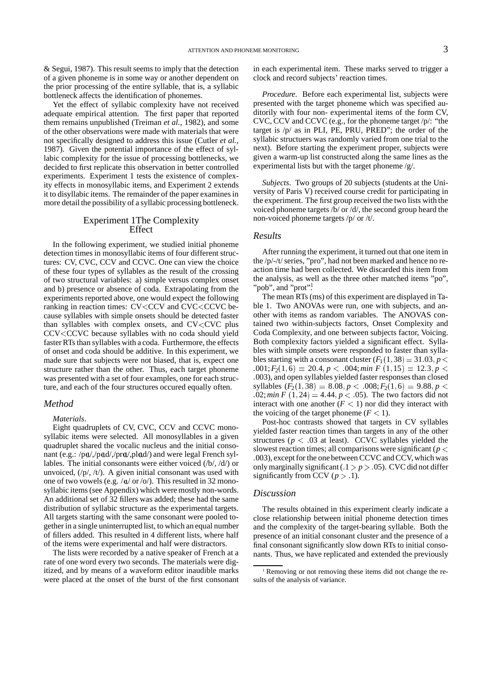$&$  Segui, 1987). This result seems to imply that the detection of a given phoneme is in some way or another dependent on the prior processing of the entire syllable, that is, a syllabic bottleneck affects the identification of phonemes.

Yet the effect of syllabic complexity have not received adequate empirical attention. The first paper that reported them remains unpublished (Treiman *et al.*, 1982), and some of the other observations were made with materials that were not specifically designed to address this issue (Cutler *et al.*, 1987). Given the potential importance of the effect of syllabic complexity for the issue of processing bottlenecks, we decided to first replicate this observation in better controlled experiments. Experiment 1 tests the existence of complexity effects in monosyllabic items, and Experiment 2 extends it to disyllabic items. The remainder of the paper examines in more detail the possibility of a syllabic processing bottleneck.

### Experiment 1The Complexity Effect

In the following experiment, we studied initial phoneme detection times in monosyllabic items of four different structures: CV, CVC, CCV and CCVC. One can view the choice of these four types of syllables as the result of the crossing of two structural variables: a) simple versus complex onset and b) presence or absence of coda. Extrapolating from the experiments reported above, one would expect the following ranking in reaction times: CV<CCV and CVC<CCVC because syllables with simple onsets should be detected faster than syllables with complex onsets, and CV CVC plus CCV CCVC because syllables with no coda should yield faster RTs than syllables with a coda. Furthermore, the effects of onset and coda should be additive. In this experiment, we made sure that subjects were not biased, that is, expect one structure rather than the other. Thus, each target phoneme was presented with a set of four examples, one for each structure, and each of the four structures occured equally often.

### *Method*

#### *Materials*.

Eight quadruplets of CV, CVC, CCV and CCVC monosyllabic items were selected. All monosyllables in a given quadruplet shared the vocalic nucleus and the initial consonant (e.g.: /pɑ/,/pɑd/,/prɑ/,plɑd/) and were legal French syllables. The initial consonants were either voiced  $(\frac{b}{\lambda} \cdot d)$  or unvoiced,  $(\frac{p}{p}, \frac{h}{p})$ . A given initial consonant was used with one of two vowels (e.g.  $/\alpha$  or  $/\alpha$ ). This resulted in 32 monosyllabic items(see Appendix) which were mostly non-words. An additional set of 32 fillers was added; these had the same distribution of syllabic structure as the experimental targets. All targets starting with the same consonant were pooled together in a single uninterrupted list, to which an equal number of fillers added. This resulted in 4 different lists, where half of the items were experimental and half were distractors.

The lists were recorded by a native speaker of French at a rate of one word every two seconds. The materials were digitized, and by means of a waveform editor inaudible marks were placed at the onset of the burst of the first consonant in each experimental item. These marks served to trigger a clock and record subjects' reaction times.

*Procedure*. Before each experimental list, subjects were presented with the target phoneme which was specified auditorily with four non- experimental items of the form CV, CVC, CCV and CCVC (e.g., for the phoneme target /p/: "the target is /p/ as in PLI, PE, PRU, PRED"; the order of the syllabic structuers was randomly varied from one trial to the next). Before starting the experiment proper, subjects were given a warm-up list constructed along the same lines as the experimental lists but with the target phoneme /g/.

*Subjects*. Two groups of 20 subjects (students at the University of Paris V) received course credit for participating in the experiment. The first group received the two lists with the voiced phoneme targets /b/ or /d/, the second group heard the non-voiced phoneme targets /p/ or /t/.

#### *Results*

After running the experiment, it turned out that one item in the /p/-/t/ series, "pro", had not been marked and hence no reaction time had been collected. We discarded this item from the analysis, as well as the three other matched items "po", "pob", and "prot"!

The mean RTs(ms) of this experiment are displayed in Table 1. Two ANOVAs were run, one with subjects, and another with items as random variables. The ANOVAS contained two within-subjects factors, Onset Complexity and Coda Complexity, and one between subjects factor, Voicing. Both complexity factors yielded a significant effect. Syllables with simple onsets were responded to faster than syllables starting with a consonant cluster  $(F_1(1,38) = 31.03, p <$  $1.001; F_2(1,6) = 20.4, p < .004; min \ F(1,15) = 12.3, p < .001; F_2(1,6) = 12.3$  003), and open syllables yielded faster responsesthan closed syllables  $(F_2(1, 38) = 8.08, p < .008; F_2(1, 6) = 9.88, p < .008$  $1.02; min F(1, 24) = 4.44, p < .05$ . The two factors did not interact with one another  $(F < 1)$  nor did they interact with the voicing of the target phoneme  $(F < 1)$ .

Post-hoc contrasts showed that targets in CV syllables yielded faster reaction times than targets in any of the other structures ( $p < 0.03$  at least). CCVC syllables yielded the slowest reaction times; all comparisons were significant ( $p <$ .003), except for the one between CCVC and CCV, which was only marginally significant  $(1 > p > 0.05)$ . CVC did not differ significantly from CCV ( $p > 1$ ).

### *Discussion*

The results obtained in this experiment clearly indicate a close relationship between initial phoneme detection times and the complexity of the target-bearing syllable. Both the presence of an initial consonant cluster and the presence of a final consonant significantly slow down RTs to initial consonants. Thus, we have replicated and extended the previously

<sup>&</sup>lt;sup>1</sup> Removing or not removing these items did not change the results of the analysis of variance.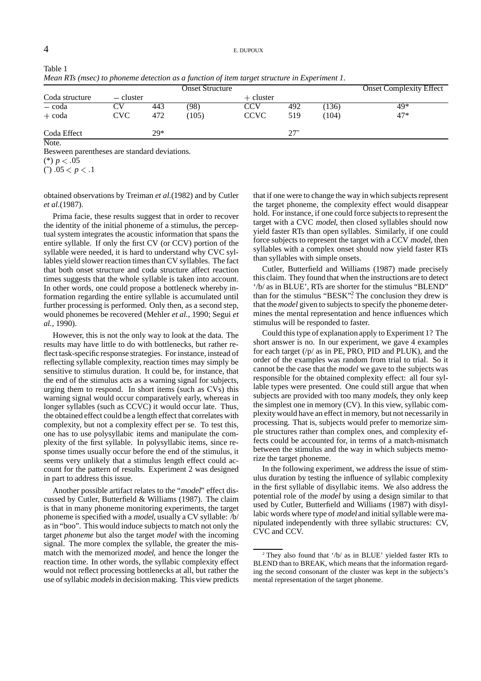| Mean KIS (msec) to phoneme aetection as a function of item target structure in Experiment 1. |            |     |                                |             |              |       |       |  |
|----------------------------------------------------------------------------------------------|------------|-----|--------------------------------|-------------|--------------|-------|-------|--|
|                                                                                              |            |     | <b>Onset Complexity Effect</b> |             |              |       |       |  |
| Coda structure                                                                               | - cluster  |     |                                | $+$ cluster |              |       |       |  |
| - coda                                                                                       |            | 443 | (98)                           | CCV         | 492          | (136) | 49*   |  |
| $+$ coda                                                                                     | <b>CVC</b> | 472 | (105)                          | <b>CCVC</b> | 519          | (104) | $47*$ |  |
| Coda Effect<br>$-$                                                                           |            | 29* |                                |             | $27^{\circ}$ |       |       |  |

*Mean RTs (msec) to phoneme detection as a function of item target structure in Experiment 1.*

Note.

Besween parentheses are standard deviations.

 $(*) p < 05$ 

( $\degree$ ) 05 < p < 1

obtained observations by Treiman *et al.*(1982) and by Cutler *et al.*(1987).

Prima facie, these results suggest that in order to recover the identity of the initial phoneme of a stimulus, the perceptual system integrates the acoustic information that spans the entire syllable. If only the first CV (or CCV) portion of the syllable were needed, it is hard to understand why CVC syllables yield slower reaction times than CV syllables. The fact that both onset structure and coda structure affect reaction times suggests that the whole syllable is taken into account. In other words, one could propose a bottleneck whereby information regarding the entire syllable is accumulated until further processing is performed. Only then, as a second step, would phonemes be recovered (Mehler *et al.*, 1990; Segui *et al.*, 1990).

However, this is not the only way to look at the data. The results may have little to do with bottlenecks, but rather reflect task-specific response strategies. For instance, instead of reflecting syllable complexity, reaction times may simply be sensitive to stimulus duration. It could be, for instance, that the end of the stimulus acts as a warning signal for subjects, urging them to respond. In short items (such as CVs) this warning signal would occur comparatively early, whereas in longer syllables (such as CCVC) it would occur late. Thus, the obtained effect could be a length effect that correlates with complexity, but not a complexity effect per se. To test this, one has to use polysyllabic items and manipulate the complexity of the first syllable. In polysyllabic items, since response times usually occur before the end of the stimulus, it seems very unlikely that a stimulus length effect could account for the pattern of results. Experiment 2 was designed in part to address this issue.

Another possible artifact relates to the "model" effect discussed by Cutler, Butterfield & Williams (1987). The claim is that in many phoneme monitoring experiments, the target phoneme is specified with a model, usually a CV syllable: /b/ as in "boo". This would induce subjects to match not only the target *phoneme* but also the target *model* with the incoming signal. The more complex the syllable, the greater the mismatch with the memorized model, and hence the longer the reaction time. In other words, the syllabic complexity effect would not reflect processing bottlenecks at all, but rather the use of syllabic models in decision making. This view predicts that if one were to change the way in which subjects represent the target phoneme, the complexity effect would disappear hold. For instance, if one could force subjects to represent the target with a CVC model, then closed syllables should now yield faster RTs than open syllables. Similarly, if one could force subjects to represent the target with a CCV model, then syllables with a complex onset should now yield faster RTs than syllables with simple onsets.

Cutler, Butterfield and Williams (1987) made precisely this claim. They found that when the instructions are to detect '/b/ as in BLUE', RTs are shorter for the stimulus "BLEND" than for the stimulus "BESK"? The conclusion they drew is that the *model* given to subjects to specify the phoneme determines the mental representation and hence influences which stimulus will be responded to faster.

Could thistype of explanation apply to Experiment 1? The short answer is no. In our experiment, we gave 4 examples for each target (/p/ as in PE, PRO, PID and PLUK), and the order of the examples was random from trial to trial. So it cannot be the case that the *model* we gave to the subjects was responsible for the obtained complexity effect: all four syllable types were presented. One could still argue that when subjects are provided with too many models, they only keep the simplest one in memory (CV). In this view, syllabic complexity would have an effectin memory, but not necessarily in processing. That is, subjects would prefer to memorize simple structures rather than complex ones, and complexity effects could be accounted for, in terms of a match-mismatch between the stimulus and the way in which subjects memorize the target phoneme.

In the following experiment, we address the issue of stimulus duration by testing the influence of syllabic complexity in the first syllable of disyllabic items. We also address the potential role of the model by using a design similar to that used by Cutler, Butterfield and Williams (1987) with disyllabic words where type of model and initial syllable were manipulated independently with three syllabic structures: CV, CVC and CCV.

Table 1

<sup>2</sup> They also found that '/b/ as in BLUE' yielded faster RTs to BLEND than to BREAK, which means that the information regarding the second consonant of the cluster was kept in the subjects's mental representation of the target phoneme.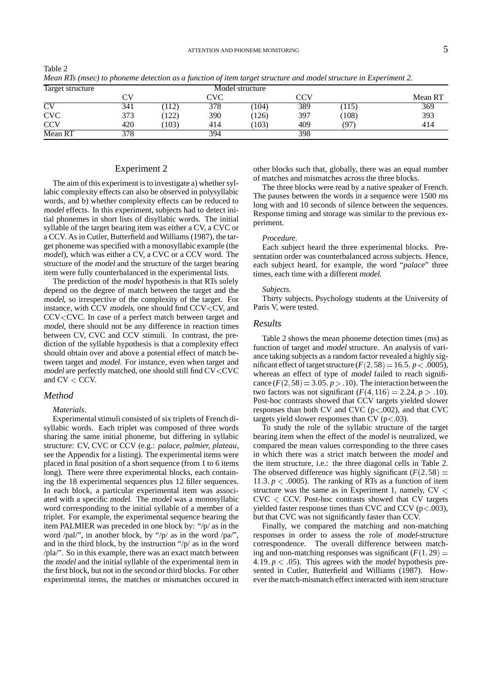ATTENTION AND PHONEME MONITORING 5

| меан K1s (тѕес) ід рнонете аенесноп as а јинсион ој иет штgеt structure ana model structure in Experiment 2. |     |      |              |                 |     |       |         |
|--------------------------------------------------------------------------------------------------------------|-----|------|--------------|-----------------|-----|-------|---------|
| Target structure                                                                                             |     |      |              | Model structure |     |       |         |
|                                                                                                              |     |      | $\rm ^{cyc}$ |                 | CCV |       | Mean RT |
| CV                                                                                                           | 341 | 112) | 378          | 104)            | 389 | (115) | 369     |
| <b>CVC</b>                                                                                                   | 373 | 122) | 390          | 126)            | 397 | (108) | 393     |
| <b>CCV</b>                                                                                                   | 420 | 103) | 414          | (103)           | 409 | (97)  | 414     |
| Mean RT                                                                                                      | 378 |      | 394          |                 | 398 |       |         |

Table 2 Mean PTs (msee) to phonome detection as a function of item target structure and model structure in Experiment 2

### Experiment 2

The aim of this experiment is to investigate a) whether syllabic complexity effects can also be observed in polysyllabic words, and b) whether complexity effects can be reduced to model effects. In this experiment, subjects had to detect initial phonemes in short lists of disyllabic words. The initial syllable of the target bearing item was either a CV, a CVC or a CCV. As in Cutler, Butterfield and Williams (1987), the target phoneme was specified with a monosyllabic example (the *model*), which was either a CV, a CVC or a CCV word. The structure of the model and the structure of the target bearing item were fully counterbalanced in the experimental lists.

The prediction of the *model* hypothesis is that RTs solely depend on the degree of match between the target and the model, so irrespective of the complexity of the target. For instance, with CCV models, one should find  $CCV < CV$ , and CCV<CVC. In case of a perfect match between target and model, there should not be any difference in reaction times between CV, CVC and CCV stimuli. In contrast, the prediction of the syllable hypothesis is that a complexity effect should obtain over and above a potential effect of match between target and model. For instance, even when target and model are perfectly matched, one should still find CV<CVC and  $CV < CCV$ .

# *Method*

#### *Materials*.

Experimental stimuli consisted of six triplets of French disyllabic words. Each triplet was composed of three words sharing the same initial phoneme, but differing in syllabic structure: CV, CVC or CCV (e.g.: *palace, palmier, plateau*, see the Appendix for a listing). The experimental items were placed in final position of a short sequence (from 1 to 6 items long). There were three experimental blocks, each containing the 18 experimental sequences plus 12 filler sequences. In each block, a particular experimental item was associated with a specific model. The model was a monosyllabic word corresponding to the initial syllable of a member of a triplet. For example, the experimental sequence bearing the item PALMIER was preceded in one block by: "/p/ as in the word /pal/", in another block, by "/p/ as in the word /pa/" and in the third block, by the instruction "/p/ as in the word /pla/". So in this example, there was an exact match between the model and the initial syllable of the experimental item in the first block, but not in the second or third blocks. For other experimental items, the matches or mismatches occured in

other blocks such that, globally, there was an equal number of matches and mismatches across the three blocks.

The three blocks were read by a native speaker of French. The pauses between the words in a sequence were 1500 ms long with and 10 seconds of silence between the sequences. Response timing and storage was similar to the previous experiment.

#### *Procedure*.

Each subject heard the three experimental blocks. Presentation order was counterbalanced across subjects. Hence, each subject heard, for example, the word "*palace*" three times, each time with a different model.

#### *Subjects*.

Thirty subjects, Psychology students at the University of Paris V, were tested.

#### *Results*

Table 2 shows the mean phoneme detection times (ms) as function of target and model structure. An analysis of variance taking subjects as a random factor revealed a highly significant effect of target structure  $(F(2, 58) = 16.5, p < 0.0005)$ , whereas an effect of type of model failed to reach significance  $(F(2, 58) = 3.05, p > 10)$ . The interaction between the two factors was not significant  $(F(4, 116) = 2.24, p > 10)$ . Post-hoc contrasts showed that CCV targets yielded slower responses than both CV and CVC ( $p<.002$ ), and that CVC targets yield slower responses than CV ( $p < .03$ ).

To study the role of the syllabic structure of the target bearing item when the effect of the model is neutralized, we compared the mean values corresponding to the three cases in which there was a strict match between the model and the item structure, i.e.: the three diagonal cells in Table 2. The observed difference was highly significant  $(F(2, 58))$  = 11.3,  $p < 0.0005$ ). The ranking of RTs as a function of item structure was the same as in Experiment 1, namely,  $CV <$  $CVC < CCV$ . Post-hoc contrasts showed that CV targets yielded faster response times than CVC and CCV ( $p$ <.003), but that CVC was not significantly faster than CCV.

Finally, we compared the matching and non-matching responses in order to assess the role of model-structure correspondence. The overall difference between matching and non-matching responses was significant  $(F(1, 29))$ 4 19  $p < 0.05$ ). This agrees with the model hypothesis presented in Cutler, Butterfield and Williams (1987). However the match-mismatch effect interacted with item structure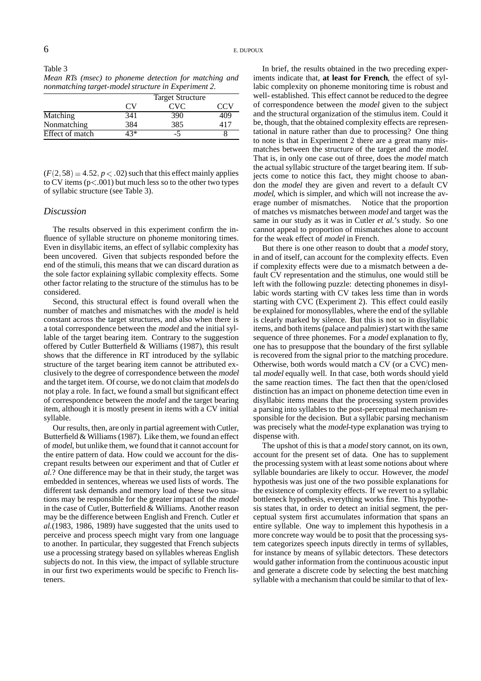Table 3

|  |  |                                                     | Mean RTs (msec) to phoneme detection for matching and |  |
|--|--|-----------------------------------------------------|-------------------------------------------------------|--|
|  |  | nonmatching target-model structure in Experiment 2. |                                                       |  |

|                 | <b>Target Structure</b> |      |     |  |
|-----------------|-------------------------|------|-----|--|
|                 | CV                      | CVC. | CCV |  |
| Matching        | 341                     | 390  | 409 |  |
| Nonmatching     | 384                     | 385  | 111 |  |
| Effect of match | 43*                     |      |     |  |

 $(F(2, 58) = 4.52, p < .02)$  such that this effect mainly applies to CV items  $(p<.001)$  but much less so to the other two types of syllabic structure (see Table 3).

### *Discussion*

The results observed in this experiment confirm the influence of syllable structure on phoneme monitoring times. Even in disyllabic items, an effect of syllabic complexity has been uncovered. Given that subjects responded before the end of the stimuli, this means that we can discard duration as the sole factor explaining syllabic complexity effects. Some other factor relating to the structure of the stimulus has to be considered.

Second, this structural effect is found overall when the number of matches and mismatches with the model is held constant across the target structures, and also when there is a total correspondence between the model and the initial syllable of the target bearing item. Contrary to the suggestion offered by Cutler Butterfield & Williams (1987), this result shows that the difference in RT introduced by the syllabic structure of the target bearing item cannot be attributed exclusively to the degree of correspondence between the model and the target item. Of course, we do not claim that models do not play a role. In fact, we found a small but significant effect of correspondence between the model and the target bearing item, although it is mostly present in items with a CV initial syllable.

Our results, then, are only in partial agreement with Cutler, Butterfield & Williams(1987). Like them, we found an effect of model, but unlike them, we found that it cannot account for the entire pattern of data. How could we account for the discrepant results between our experiment and that of Cutler *et al.*? One difference may be that in their study, the target was embedded in sentences, whereas we used lists of words. The different task demands and memory load of these two situations may be responsible for the greater impact of the model in the case of Cutler, Butterfield & Williams. Another reason may be the difference between English and French. Cutler *et al.*(1983, 1986, 1989) have suggested that the units used to perceive and process speech might vary from one language to another. In particular, they suggested that French subjects use a processing strategy based on syllables whereas English subjects do not. In this view, the impact of syllable structure in our first two experiments would be specific to French listeners.

In brief, the results obtained in the two preceding experiments indicate that, **at least for French**, the effect of syllabic complexity on phoneme monitoring time is robust and well- established. This effect cannot be reduced to the degree of correspondence between the model given to the subject and the structural organization of the stimulus item. Could it be, though, that the obtained complexity effects are representational in nature rather than due to processing? One thing to note is that in Experiment 2 there are a great many mismatches between the structure of the target and the model. That is, in only one case out of three, does the model match the actual syllabic structure of the target bearing item. If subjects come to notice this fact, they might choose to abandon the model they are given and revert to a default CV model, which is simpler, and which will not increase the average number of mismatches. Notice that the proportion of matches vs mismatches between model and target was the same in our study as it was in Cutler *et al.*'s study. So one cannot appeal to proportion of mismatches alone to account for the weak effect of model in French.

But there is one other reason to doubt that a model story, in and of itself, can account for the complexity effects. Even if complexity effects were due to a mismatch between a default CV representation and the stimulus, one would still be left with the following puzzle: detecting phonemes in disyllabic words starting with CV takes less time than in words starting with CVC (Experiment 2). This effect could easily be explained for monosyllables, where the end of the syllable is clearly marked by silence. But this is not so in disyllabic items, and both items (palace and palmier) start with the same sequence of three phonemes. For a model explanation to fly, one has to presuppose that the boundary of the first syllable is recovered from the signal prior to the matching procedure. Otherwise, both words would match a CV (or a CVC) mental model equally well. In that case, both words should yield the same reaction times. The fact then that the open/closed distinction has an impact on phoneme detection time even in disyllabic items means that the processing system provides a parsing into syllables to the post-perceptual mechanism responsible for the decision. But a syllabic parsing mechanism was precisely what the model-type explanation was trying to dispense with.

The upshot of this is that a model story cannot, on its own, account for the present set of data. One has to supplement the processing system with at least some notions about where syllable boundaries are likely to occur. However, the model hypothesis was just one of the two possible explanations for the existence of complexity effects. If we revert to a syllabic bottleneck hypothesis, everything works fine. This hypothesis states that, in order to detect an initial segment, the perceptual system first accumulates information that spans an entire syllable. One way to implement this hypothesis in a more concrete way would be to posit that the processing system categorizes speech inputs directly in terms of syllables, for instance by means of syllabic detectors. These detectors would gather information from the continuous acoustic input and generate a discrete code by selecting the best matching syllable with a mechanism that could be similar to that of lex-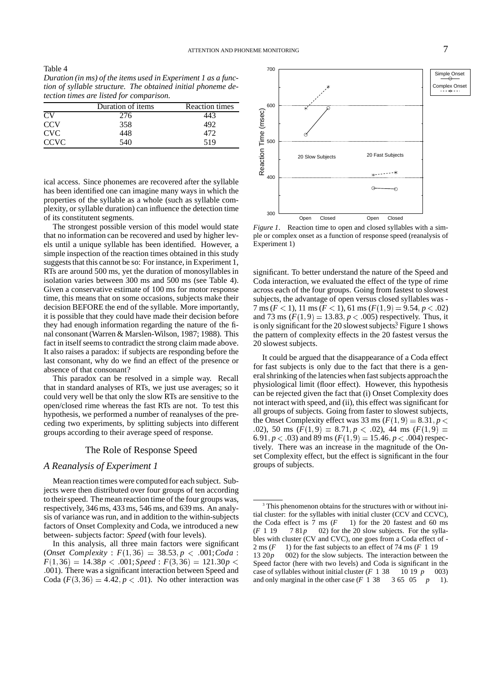700

Table 4

|                                          | Duration (in ms) of the items used in Experiment 1 as a func- |
|------------------------------------------|---------------------------------------------------------------|
|                                          | tion of syllable structure. The obtained initial phoneme de-  |
| tection times are listed for comparison. |                                                               |

|                | Duration of items | <b>Reaction times</b> |
|----------------|-------------------|-----------------------|
| CV <sub></sub> | 276               |                       |
| <b>CCV</b>     | 358               | 492                   |
| <b>CVC</b>     | 448               | 472                   |
| CCVC           | 540               | 519                   |

ical access. Since phonemes are recovered after the syllable has been identified one can imagine many ways in which the properties of the syllable as a whole (such as syllable complexity, or syllable duration) can influence the detection time of its constitutent segments.

The strongest possible version of this model would state that no information can be recovered and used by higher levels until a unique syllable has been identified. However, a simple inspection of the reaction times obtained in this study suggests that this cannot be so: For instance, in Experiment 1, RTs are around 500 ms, yet the duration of monosyllables in isolation varies between 300 ms and 500 ms (see Table 4). Given a conservative estimate of 100 ms for motor response time, this means that on some occasions, subjects make their decision BEFORE the end of the syllable. More importantly, it is possible that they could have made their decision before they had enough information regarding the nature of the final consonant (Warren & Marslen-Wilson, 1987; 1988). This fact in itself seems to contradict the strong claim made above. It also raises a paradox: if subjects are responding before the last consonant, why do we find an effect of the presence or absence of that consonant?

This paradox can be resolved in a simple way. Recall that in standard analyses of RTs, we just use averages; so it could very well be that only the slow RTs are sensitive to the open/closed rime whereas the fast RTs are not. To test this hypothesis, we performed a number of reanalyses of the preceding two experiments, by splitting subjects into different groups according to their average speed of response.

# The Role of Response Speed

# *A Reanalysis of Experiment 1*

Mean reaction times were computed for each subject. Subjects were then distributed over four groups of ten according to their speed. The mean reaction time of the four groups was, respectively, 346 ms, 433 ms, 546 ms, and 639 ms. An analysis of variance was run, and in addition to the within-subjects factors of Onset Complexity and Coda, we introduced a new between- subjects factor: *Speed* (with four levels).

In this analysis, all three main factors were significant  $(Onset \ Complexity : F(1, 36) = 38.53, p < .001; Coda :$ *F* (*I*, 36) = 38.53, *p* < .001; *Codd* : <br>*F*  $f(1, 36) = 14.38p < .001$ ; *Speed* : *F*(3, 36) = 121.30*p* < Speed f 001). There was a significant interaction between Speed and Coda  $(F(3, 36) = 4.42, p < 01)$ . No other interaction was

Open Closed Open Closed 300 *Figure 1*. Reaction time to open and closed syllables with a simple or complex onset as a function of response speed (reanalysis of Experiment 1)

significant. To better understand the nature of the Speed and Coda interaction, we evaluated the effect of the type of rime across each of the four groups. Going from fastest to slowest subjects, the advantage of open versus closed syllables was - 7 ms  $(F < 1)$ , 11 ms  $(F < 1)$ , 61 ms  $(F(1, 9) = 9.54, p < 02)$ and 73 ms  $(F(1, 9) = 13.83, p < .005)$  respectively. Thus, it is only significant for the 20 slowest subjects<sup>3</sup> Figure 1 shows the pattern of complexity effects in the 20 fastest versus the 20 slowest subjects.

It could be argued that the disappearance of a Coda effect for fast subjects is only due to the fact that there is a general shrinking of the latencies when fast subjects approach the physiological limit (floor effect). However, this hypothesis can be rejected given the fact that (i) Onset Complexity does not interact with speed, and (ii), this effect was significant for all groups of subjects. Going from faster to slowest subjects, the Onset Complexity effect was 33 ms  $(F(1, 9) = 8.31, p <$  $(02)$ , 50 ms  $(F(1, 9) = 8.71, p < .02)$ , 44 ms  $(F(1, 9) =$ 6.91,  $p < .03$ ) and 89 ms ( $F(1, 9) = 15.46$ ,  $p < .004$ ) respectively. There was an increase in the magnitude of the Onset Complexity effect, but the effect is significant in the four groups of subjects.



Simple Onset Complex Onse

<sup>&</sup>lt;sup>3</sup> This phenomenon obtains for the structures with or without initial cluster: for the syllables with initial cluster (CCV and CCVC), the Coda effect is  $7 \text{ ms } (F - 1)$  for the 20 fastest and 60 ms 1) for the 20 fastest and 60 ms  $(F\ 1\ 19\ 7\ 81p\ 02)$  for the 20 slow subjects. For the syllables with cluster (CV and CVC), one goes from a Coda effect of - 2 ms  $(F - 1)$  for the fast subjects to an effect of 74 ms  $(F \ 1 \ 19)$ 002) for the slow subjects. The interaction between the Speed factor (here with two levels) and Coda is significant in the case of syllables without initial cluster  $(F\ 1\ 38\ 10\ 19\ p\ 003)$ and only marginal in the other case  $(F\ 1\ 38\ 3\ 65\ 05\ p\ 1)$ .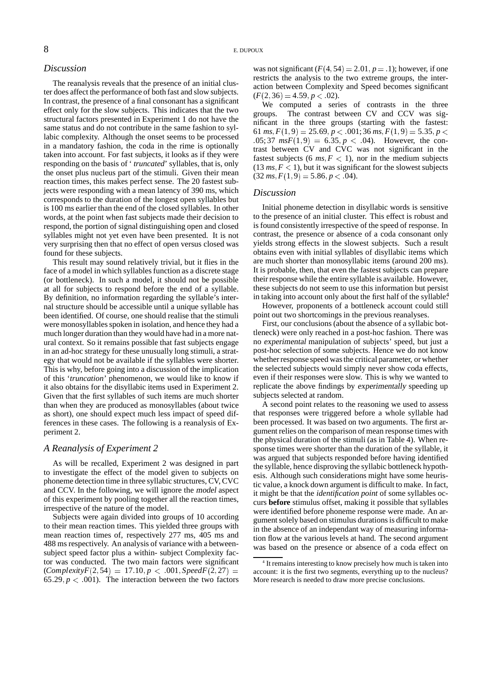# $8$  E. DUPOUX

# *Discussion*

The reanalysis reveals that the presence of an initial cluster does affect the performance of both fast and slow subjects. In contrast, the presence of a final consonant has a significant effect only for the slow subjects. This indicates that the two structural factors presented in Experiment 1 do not have the same status and do not contribute in the same fashion to syllabic complexity. Although the onset seems to be processed in a mandatory fashion, the coda in the rime is optionally taken into account. For fast subjects, it looks as if they were responding on the basis of '*truncated*' syllables, that is, only the onset plus nucleus part of the stimuli. Given their mean reaction times, this makes perfect sense. The 20 fastest subjects were responding with a mean latency of 390 ms, which corresponds to the duration of the longest open syllables but is 100 ms earlier than the end of the closed syllables. In other words, at the point when fast subjects made their decision to respond, the portion of signal distinguishing open and closed syllables might not yet even have been presented. It is not very surprising then that no effect of open versus closed was found for these subjects.

This result may sound relatively trivial, but it flies in the face of a model in which syllables function as a discrete stage (or bottleneck). In such a model, it should not be possible at all for subjects to respond before the end of a syllable. By definition, no information regarding the syllable's internal structure should be accessible until a unique syllable has been identified. Of course, one should realise that the stimuli were monosyllables spoken in isolation, and hence they had a much longer duration than they would have had in a more natural context. So it remains possible that fast subjects engage in an ad-hoc strategy for these unusually long stimuli, a strategy that would not be available if the syllables were shorter. This is why, before going into a discussion of the implication of this '*truncation*' phenomenon, we would like to know if it also obtains for the disyllabic items used in Experiment 2. Given that the first syllables of such items are much shorter than when they are produced as monosyllables (about twice as short), one should expect much less impact of speed differences in these cases. The following is a reanalysis of Experiment 2.

# *A Reanalysis of Experiment 2*

As will be recalled, Experiment 2 was designed in part to investigate the effect of the model given to subjects on phoneme detection time in three syllabic structures, CV,CVC and CCV. In the following, we will ignore the model aspect of this experiment by pooling together all the reaction times, irrespective of the nature of the model.

Subjects were again divided into groups of 10 according to their mean reaction times. This yielded three groups with mean reaction times of, respectively 277 ms, 405 ms and 488 ms respectively. An analysis of variance with a betweensubject speed factor plus a within- subject Complexity factor was conducted. The two main factors were significant  $(ComplexityF(2, 54) = 17.10, p < .001, SpeedF(2, 27) =$ 65.29,  $p < .001$ ). The interaction between the two factors

was not significant  $(F(4, 54) = 2.01, p = 1)$ ; however, if one restricts the analysis to the two extreme groups, the interaction between Complexity and Speed becomes significant  $(F(2, 36) = 4.59, p < 02).$ 

We computed a series of contrasts in the three groups. The contrast between CV and CCV was significant in the three groups (starting with the fastest: 61  $ms, F(1, 9) = 25.69, p < .001; 36 ms, F(1, 9) = 5.35, p < .001$  $4.05; 37$   $msF(1, 9) = 6.35, p < .04$ . However, the contrast between CV and CVC was not significant in the fastest subjects (6  $ms, F < 1$ ), nor in the medium subjects  $(13 \text{ ms}, F < 1)$ , but it was significant for the slowest subjects  $(32 \text{ ms}, F(1, 9) = 5, 86, p < 04).$ 

#### *Discussion*

Initial phoneme detection in disyllabic words is sensitive to the presence of an initial cluster. This effect is robust and is found consistently irrespective of the speed of response. In contrast, the presence or absence of a coda consonant only yields strong effects in the slowest subjects. Such a result obtains even with initial syllables of disyllabic items which are much shorter than monosyllabic items (around 200 ms). It is probable, then, that even the fastest subjects can prepare their response while the entire syllable is available. However, these subjects do not seem to use this information but persist in taking into account only about the first half of the syllable.<sup>4</sup>

However, proponents of a bottleneck account could still point out two shortcomings in the previous reanalyses.

First, our conclusions (about the absence of a syllabic bottleneck) were only reached in a post-hoc fashion. There was no experimental manipulation of subjects' speed, but just a post-hoc selection of some subjects. Hence we do not know whether response speed was the critical parameter, or whether the selected subjects would simply never show coda effects, even if their responses were slow. This is why we wanted to replicate the above findings by experimentally speeding up subjects selected at random.

A second point relates to the reasoning we used to assess that responses were triggered before a whole syllable had been processed. It was based on two arguments. The first argument relies on the comparison of mean response times with the physical duration of the stimuli (as in Table 4). When response times were shorter than the duration of the syllable, it was argued that subjects responded before having identified the syllable, hence disproving the syllabic bottleneck hypothesis. Although such considerations might have some heuristic value, a knock down argument is difficult to make. In fact, it might be that the *identification point* of some syllables occurs **before** stimulus offset, making it possible that syllables were identified before phoneme response were made. An argument solely based on stimulus durations is difficult to make in the absence of an independant way of measuring information flow at the various levels at hand. The second argument was based on the presence or absence of a coda effect on

<sup>&</sup>lt;sup>4</sup> It remains interesting to know precisely how much is taken into account: it is the first two segments, everything up to the nucleus? More research is needed to draw more precise conclusions.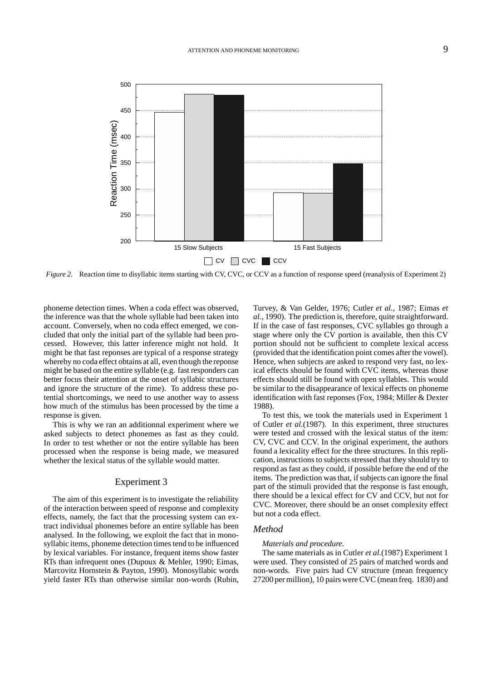

*Figure* 2. Reaction time to disyllabic items starting with CV, CVC, or CCV as a function of response speed (reanalysis of Experiment 2)

phoneme detection times. When a coda effect was observed, the inference was that the whole syllable had been taken into account. Conversely, when no coda effect emerged, we concluded that only the initial part of the syllable had been processed. However, this latter inference might not hold. It might be that fast reponses are typical of a response strategy whereby no coda effect obtains at all, even though the reponse might be based on the entire syllable (e.g. fast responders can better focus their attention at the onset of syllabic structures and ignore the structure of the rime). To address these potential shortcomings, we need to use another way to assess how much of the stimulus has been processed by the time a response is given.

This is why we ran an additionnal experiment where we asked subjects to detect phonemes as fast as they could. In order to test whether or not the entire syllable has been processed when the response is being made, we measured whether the lexical status of the syllable would matter.

### Experiment 3

The aim of this experiment is to investigate the reliability of the interaction between speed of response and complexity effects, namely, the fact that the processing system can extract individual phonemes before an entire syllable has been analysed. In the following, we exploit the fact that in monosyllabic items, phoneme detection times tend to be influenced by lexical variables. For instance, frequent items show faster RTs than infrequent ones (Dupoux & Mehler, 1990; Eimas, Marcovitz Hornstein & Payton, 1990). Monosyllabic words yield faster RTs than otherwise similar non-words (Rubin, Turvey, & Van Gelder, 1976; Cutler *et al.*, 1987; Eimas *et al.*, 1990). The prediction is, therefore, quite straightforward. If in the case of fast responses, CVC syllables go through a stage where only the CV portion is available, then this CV portion should not be sufficient to complete lexical access (provided that the identification point comes after the vowel). Hence, when subjects are asked to respond very fast, no lexical effects should be found with CVC items, whereas those effects should still be found with open syllables. This would be similar to the disappearance of lexical effects on phoneme identification with fast reponses (Fox, 1984; Miller & Dexter 1988).

To test this, we took the materials used in Experiment 1 of Cutler *et al.*(1987). In this experiment, three structures were tested and crossed with the lexical status of the item: CV, CVC and CCV. In the original experiment, the authors found a lexicality effect for the three structures. In this replication, instructions to subjects stressed that they should try to respond as fast as they could, if possible before the end of the items. The prediction was that, if subjects can ignore the final part of the stimuli provided that the response is fast enough, there should be a lexical effect for CV and CCV, but not for CVC. Moreover, there should be an onset complexity effect but not a coda effect.

# *Method*

#### *Materials and procedure*.

The same materials as in Cutler *et al.*(1987) Experiment 1 were used. They consisted of 25 pairs of matched words and non-words. Five pairs had CV structure (mean frequency 27200 per million), 10 pairs were CVC (mean freq. 1830) and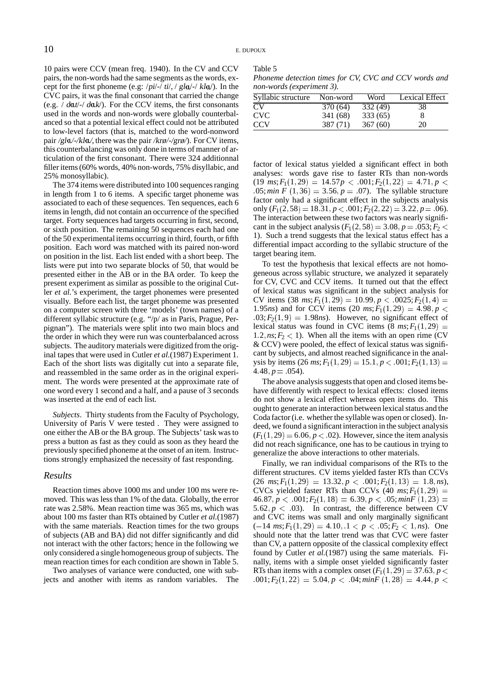10 pairs were CCV (mean freq. 1940). In the CV and CCV pairs, the non-words had the same segments as the words, except for the first phoneme (e.g: /pi/-/ ti/, / gla/-/ kla/). In the CVC pairs, it was the final consonant that carried the change (e.g. /  $dat$ -/ $dat$ ). For the CCV items, the first consonants used in the words and non-words were globally counterbalanced so that a potential lexical effect could not be attributed to low-level factors (that is, matched to the word-nonword pair /gl $a$ /-/kl $a$ /, there was the pair /krø/-/grø/). For CV items, this counterbalancing was only done in terms of manner of articulation of the first consonant. There were 324 additionnal filler items(60% words, 40% non-words, 75% disyllabic, and 25% monosyllabic).

The 374 items were distributed into 100 sequences ranging in length from 1 to 6 items. A specific target phoneme was associated to each of these sequences. Ten sequences, each 6 itemsin length, did not contain an occurrence of the specified target. Forty sequences had targets occurring infirst, second, or sixth position. The remaining 50 sequences each had one of the 50 experimental items occurring in third, fourth, or fifth position. Each word was matched with its paired non-word on position in the list. Each list ended with a short beep. The lists were put into two separate blocks of 50, that would be presented either in the AB or in the BA order. To keep the present experiment as similar as possible to the original Cutler *et al.*'s experiment, the target phonemes were presented visually. Before each list, the target phoneme was presented on a computer screen with three 'models' (town names) of a different syllabic structure (e.g. "/p/ as in Paris, Prague, Perpignan"). The materials were split into two main blocs and the order in which they were run was counterbalanced across subjects. The auditory materials were digitized from the original tapes that were used in Cutler *et al.*(1987) Experiment 1. Each of the short lists was digitally cut into a separate file, and reassembled in the same order as in the original experiment. The words were presented at the approximate rate of one word every 1 second and a half, and a pause of 3 seconds was inserted at the end of each list.

*Subjects*. Thirty students from the Faculty of Psychology, University of Paris V were tested . They were assigned to one either the AB or the BA group. The Subjects' task was to press a button as fast as they could as soon as they heard the previously specified phoneme atthe onset of an item. Instructions strongly emphasized the necessity of fast responding.

#### *Results*

Reaction times above 1000 ms and under 100 ms were removed. This was less than 1% of the data. Globally, the error rate was 2.58%. Mean reaction time was 365 ms, which was about 100 ms faster than RTs obtained by Cutler *et al.*(1987) with the same materials. Reaction times for the two groups of subjects (AB and BA) did not differ significantly and did not interact with the other factors; hence in the following we only considered a single homogeneous group of subjects. The mean reaction times for each condition are shown in Table 5.

Two analyses of variance were conducted, one with subjects and another with items as random variables. The

#### Table 5

*Phoneme detection times for CV, CVC and CCV words and non-words (experiment 3).*

| Syllabic structure | Non-word | Word     | <b>Lexical Effect</b> |
|--------------------|----------|----------|-----------------------|
| $\Gamma$ V         | 370 (64) | 332 (49) | 38                    |
| CVC.               | 341 (68) | 333 (65) |                       |
| <b>CCV</b>         | 387 (71) | 367(60)  | 20                    |

factor of lexical status yielded a significant effect in both analyses: words gave rise to faster RTs than non-words  $(19 \text{ ms}; F_1(1, 29) = 14.57p < 0.01; F_2(1, 22) = 4.71, p <$  $0.05; min \ F(1, 36) = 3.56, p = .07$ . The syllable structure factor only had a significant effect in the subjects analysis only  $(F_1(2, 58) = 18.31, p < .001; F_2(2, 22) = 3.22, p = .06$ . The interaction between these two factors was nearly significant in the subject analysis  $(F_1(2, 58) = 3.08, p = .053; F_2 <$ 1). Such a trend suggests that the lexical status effect has a differential impact according to the syllabic structure of the target bearing item.

To test the hypothesis that lexical effects are not homogeneous across syllabic structure, we analyzed it separately for CV, CVC and CCV items. It turned out that the effect of lexical status was significant in the subject analysis for CV items  $(38 \text{ ms}; F_1(1, 29) = 10.99, p < .0025; F_2(1, 4) =$ 1 95*ns*) and for CCV items  $(20 \text{ ms}; F_1(1, 29) = 4.98, p <$  $(0.03; F_2(1, 9) = 1.98$ *ns*). However, no significant effect of lexical status was found in CVC items  $(8 \text{ ms}; F_1(1, 29))$  = 1.2,  $ns; F_2$  < 1). When all the items with an open rime (CV & CCV) were pooled, the effect of lexical status was significant by subjects, and almost reached significance in the analysis by items  $(26 \text{ ms}; F_1(1, 29) = 15.1, p < .001; F_2(1, 13) =$  $4\,48, p = 054$ .

The above analysis suggests that open and closed items behave differently with respect to lexical effects: closed items do not show a lexical effect whereas open items do. This ought to generate an interaction between lexical status and the Coda factor (i.e. whether the syllable was open or closed). Indeed, we found a significant interaction in the subject analysis  $(F_1(1, 29) = 6.06, p < .02)$ . However, since the item analysis did not reach significance, one has to be cautious in trying to generalize the above interactions to other materials.

Finally, we ran individual comparisons of the RTs to the different structures. CV items yielded faster RTs than CCVs  $(26 \text{ ms}; F_1(1, 29) = 13.32, p < .001; F_2(1, 13) = 1.8, ns),$ CVCs yielded faster RTs than CCVs  $(40 \text{ ms}; F_1(1, 29) =$  $46.87, p < .001; F_2(1, 18) = 6.39, p < .05; minF(1, 23) =$ 5  $62, p < 03$ ). In contrast, the difference between CV and CVC items was small and only marginally significant  $(-14 \text{ ms}; F_1(1, 29) = 4.10, 1 < p < 0.05; F_2 < 1, ns)$ . One should note that the latter trend was that CVC were faster than CV, a pattern opposite of the classical complexity effect found by Cutler *et al.*(1987) using the same materials. Finally, items with a simple onset yielded significantly faster RTs than items with a complex onset  $(F_1(1, 29) = 37.63, p <$  $\cdot 0.001; F_2(1,22) = 5.04, p < .04; minF(1,28) = 4.44, p$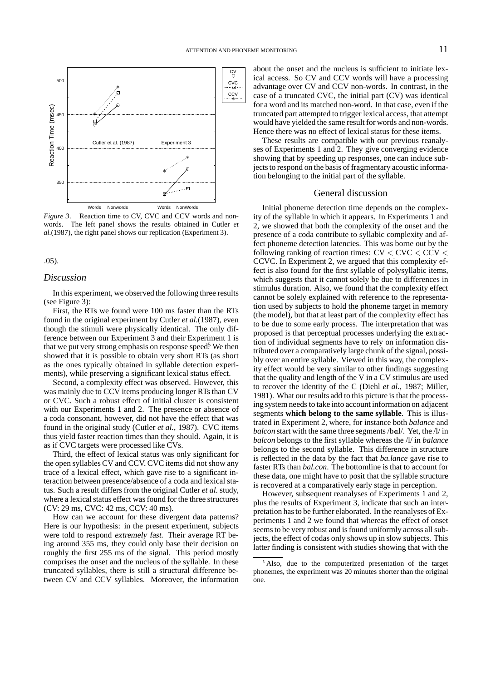

*Figure 3*. Reaction time to CV, CVC and CCV words and nonwords. The left panel shows the results obtained in Cutler *et al.*(1987), the right panel shows our replication (Experiment 3).

### 05).

### *Discussion*

In this experiment, we observed the following three results (see Figure 3):

First, the RTs we found were 100 ms faster than the RTs found in the original experiment by Cutler *et al.*(1987), even though the stimuli were physically identical. The only difference between our Experiment 3 and their Experiment 1 is that we put very strong emphasis on response speed<sup>5</sup>. We then showed that it is possible to obtain very short RTs (as short as the ones typically obtained in syllable detection experiments), while preserving a significant lexical status effect.

Second, a complexity effect was observed. However, this was mainly due to CCV items producing longer RTs than CV or CVC. Such a robust effect of initial cluster is consistent with our Experiments 1 and 2. The presence or absence of a coda consonant, however, did not have the effect that was found in the original study (Cutler *et al.*, 1987). CVC items thus yield faster reaction times than they should. Again, it is as if CVC targets were processed like CVs.

Third, the effect of lexical status was only significant for the open syllables CV and CCV. CVC items did not show any trace of a lexical effect, which gave rise to a significant interaction between presence/absence of a coda and lexical status. Such a result differs from the original Cutler *et al.* study, where a lexical status effect was found for the three structures (CV: 29 ms, CVC: 42 ms, CCV: 40 ms).

How can we account for these divergent data patterns? Here is our hypothesis: in the present experiment, subjects were told to respond extremely fast. Their average RT being around 355 ms, they could only base their decision on roughly the first 255 ms of the signal. This period mostly comprises the onset and the nucleus of the syllable. In these truncated syllables, there is still a structural difference between CV and CCV syllables. Moreover, the information about the onset and the nucleus is sufficient to initiate lexical access. So CV and CCV words will have a processing advantage over CV and CCV non-words. In contrast, in the case of a truncated CVC, the initial part (CV) was identical for a word and its matched non-word. In that case, even if the truncated part attempted to trigger lexical access, that attempt would have yielded the same result for words and non-words. Hence there was no effect of lexical status for these items.

These results are compatible with our previous reanalyses of Experiments 1 and 2. They give converging evidence showing that by speeding up responses, one can induce subjects to respond on the basis of fragmentary acoustic information belonging to the initial part of the syllable.

### General discussion

Initial phoneme detection time depends on the complexity of the syllable in which it appears. In Experiments 1 and 2, we showed that both the complexity of the onset and the presence of a coda contribute to syllabic complexity and affect phoneme detection latencies. This was borne out by the following ranking of reaction times:  $CV < CVC < CCV <$ CCVC. In Experiment 2, we argued that this complexity effect is also found for the first syllable of polysyllabic items, which suggests that it cannot solely be due to differences in stimulus duration. Also, we found that the complexity effect cannot be solely explained with reference to the representation used by subjects to hold the phoneme target in memory (the model), but that at least part of the complexity effect has to be due to some early process. The interpretation that was proposed is that perceptual processes underlying the extraction of individual segments have to rely on information distributed over a comparatively large chunk of the signal, possibly over an entire syllable. Viewed in this way, the complexity effect would be very similar to other findings suggesting that the quality and length of the  $V$  in a  $CV$  stimulus are used to recover the identity of the C (Diehl *et al.*, 1987; Miller, 1981). What our results add to this picture is that the processing system needs to take into account information on adjacent segments **which belong to the same syllable**. This is illustrated in Experiment 2, where, for instance both *balance* and *balcon* start with the same three segments /bɑl/. Yet, the /l/ in *balcon* belongs to the first syllable whereas the /l/ in *balance* belongs to the second syllable. This difference in structure is reflected in the data by the fact that *ba.lance* gave rise to faster RTs than *bal.con*. The bottomline is that to account for these data, one might have to posit that the syllable structure is recovered at a comparatively early stage in perception.

However, subsequent reanalyses of Experiments 1 and 2, plus the results of Experiment 3, indicate that such an interpretation hasto be further elaborated. In the reanalyses of Experiments 1 and 2 we found that whereas the effect of onset seems to be very robust and is found uniformly across all subjects, the effect of codas only shows up in slow subjects. This latter finding is consistent with studies showing that with the

<sup>&</sup>lt;sup>5</sup> Also, due to the computerized presentation of the target phonemes, the experiment was 20 minutes shorter than the original one.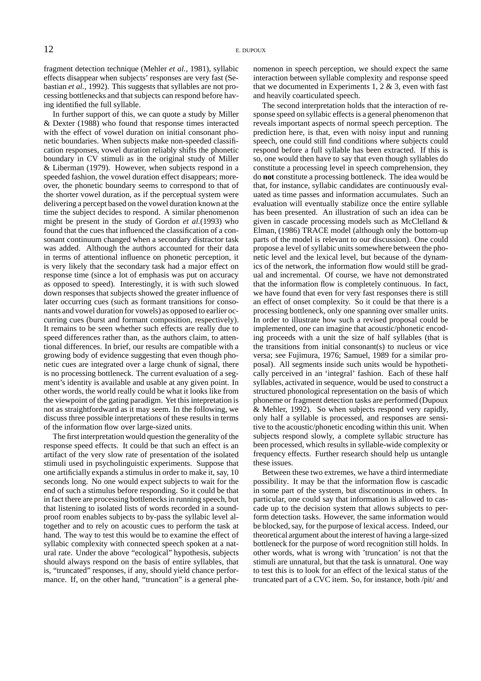fragment detection technique (Mehler *et al.*, 1981), syllabic effects disappear when subjects' responses are very fast (Sebastian *et al.*, 1992). This suggests that syllables are not processing bottlenecks and that subjects can respond before having identified the full syllable.

In further support of this, we can quote a study by Miller & Dexter (1988) who found that response times interacted with the effect of vowel duration on initial consonant phonetic boundaries. When subjects make non-speeded classification responses, vowel duration reliably shifts the phonetic boundary in CV stimuli as in the original study of Miller & Liberman (1979). However, when subjects respond in a speeded fashion, the vowel duration effect disappears; moreover, the phonetic boundary seems to correspond to that of the shorter vowel duration, as if the perceptual system were delivering a percept based on the vowel duration known at the time the subject decides to respond. A similar phenomenon might be present in the study of Gordon *et al.*(1993) who found that the cues that influenced the classification of a consonant continuum changed when a secondary distractor task was added. Although the authors accounted for their data in terms of attentional influence on phonetic perception, it is very likely that the secondary task had a major effect on response time (since a lot of emphasis was put on accuracy as opposed to speed). Interestingly, it is with such slowed down responses that subjects showed the greater influence of later occurring cues (such as formant transitions for consonants and vowel duration for vowels) as opposed to earlier occurring cues (burst and formant composition, respectively). It remains to be seen whether such effects are really due to speed differences rather than, as the authors claim, to attentional differences. In brief, our results are compatible with a growing body of evidence suggesting that even though phonetic cues are integrated over a large chunk of signal, there is no processing bottleneck. The current evaluation of a segment's identity is available and usable at any given point. In other words, the world really could be what it looks like from the viewpoint of the gating paradigm. Yet this intepretation is not as straightfordward as it may seem. In the following, we discuss three possible interpretations of these results in terms of the information flow over large-sized units.

The first interpretation would question the generality of the response speed effects. It could be that such an effect is an artifact of the very slow rate of presentation of the isolated stimuli used in psycholinguistic experiments. Suppose that one artificially expands a stimulus in order to make it, say, 10 seconds long. No one would expect subjects to wait for the end of such a stimulus before responding. So it could be that in fact there are processing bottlenecks in running speech, but that listening to isolated lists of words recorded in a soundproof room enables subjects to by-pass the syllabic level altogether and to rely on acoustic cues to perform the task at hand. The way to test this would be to examine the effect of syllabic complexity with connected speech spoken at a natural rate. Under the above "ecological" hypothesis, subjects should always respond on the basis of entire syllables, that is, "truncated" responses, if any, should yield chance performance. If, on the other hand, "truncation" is a general phenomenon in speech perception, we should expect the same interaction between syllable complexity and response speed that we documented in Experiments 1,  $2 \& 3$ , even with fast and heavily coarticulated speech.

The second interpretation holds that the interaction of response speed on syllabic effects is a general phenomenon that reveals important aspects of normal speech perception. The prediction here, is that, even with noisy input and running speech, one could still find conditions where subjects could respond before a full syllable has been extracted. If this is so, one would then have to say that even though syllables do constitute a processing level in speech comprehension, they do**not** constitute a processing bottleneck. The idea would be that, for instance, syllabic candidates are continuously evaluated as time passes and information accumulates. Such an evaluation will eventually stabilize once the entire syllable has been presented. An illustration of such an idea can be given in cascade processing models such as McClelland & Elman, (1986) TRACE model (although only the bottom-up parts of the model is relevant to our discussion). One could propose a level of syllabic units somewhere between the phonetic level and the lexical level, but because of the dynamics of the network, the information flow would still be gradual and incremental. Of course, we have not demonstrated that the information flow is completely continuous. In fact, we have found that even for very fast responses there is still an effect of onset complexity. So it could be that there is a processing bottleneck, only one spanning over smaller units. In order to illustrate how such a revised proposal could be implemented, one can imagine that acoustic/phonetic encoding proceeds with a unit the size of half syllables (that is the transitions from initial consonant(s) to nucleus or vice versa; see Fujimura, 1976; Samuel, 1989 for a similar proposal). All segments inside such units would be hypothetically perceived in an 'integral' fashion. Each of these half syllables, activated in sequence, would be used to construct a structured phonological representation on the basis of which phoneme or fragment detection tasks are performed (Dupoux & Mehler, 1992). So when subjects respond very rapidly, only half a syllable is processed, and responses are sensitive to the acoustic/phonetic encoding within this unit. When subjects respond slowly, a complete syllabic structure has been processed, which results in syllable-wide complexity or frequency effects. Further research should help us untangle these issues.

Between these two extremes, we have a third intermediate possibility. It may be that the information flow is cascadic in some part of the system, but discontinuous in others. In particular, one could say that information is allowed to cascade up to the decision system that allows subjects to perform detection tasks. However, the same information would be blocked, say, for the purpose of lexical access. Indeed, our theoretical argument about the interest of having a large-sized bottleneck for the purpose of word recognition still holds. In other words, what is wrong with 'truncation' is not that the stimuli are unnatural, but that the task is unnatural. One way to test this is to look for an effect of the lexical status of the truncated part of a CVC item. So, for instance, both /pit/ and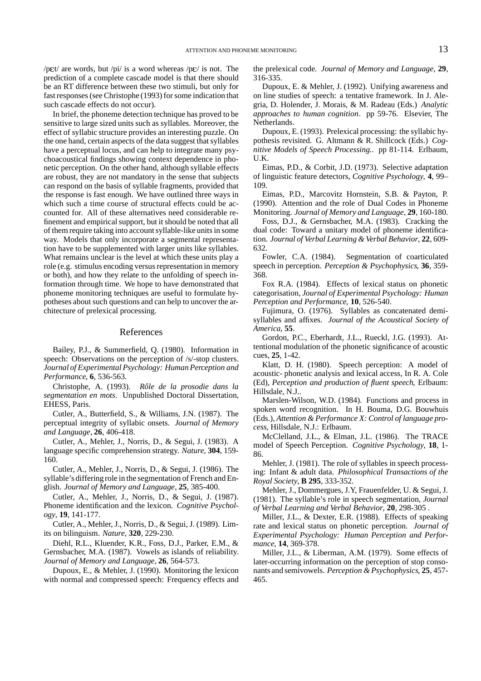/p $E$ t/ are words, but /pi/ is a word whereas /p $E$ / is not. The prediction of a complete cascade model is that there should be an RT difference between these two stimuli, but only for fast responses (see Christophe (1993) for some indication that such cascade effects do not occur).

In brief, the phoneme detection technique has proved to be sensitive to large sized units such as syllables. Moreover, the effect of syllabic structure provides an interesting puzzle. On the one hand, certain aspects of the data suggest that syllables have a perceptual locus, and can help to integrate many psychoacoustical findings showing context dependence in phonetic perception. On the other hand, although syllable effects are robust, they are not mandatory in the sense that subjects can respond on the basis of syllable fragments, provided that the response is fast enough. We have outlined three ways in which such a time course of structural effects could be accounted for. All of these alternatives need considerable refinement and empirical support, but it should be noted that all of them require taking into account syllable-like units in some way. Models that only incorporate a segmental representation have to be supplemented with larger units like syllables. What remains unclear is the level at which these units play a role (e.g. stimulus encoding versus representation in memory or both), and how they relate to the unfolding of speech information through time. We hope to have demonstrated that phoneme monitoring techniques are useful to formulate hypotheses about such questions and can help to uncover the architecture of prelexical processing.

### References

Bailey, P.J., & Summerfield, Q. (1980). Information in speech: Observations on the perception of /s/-stop clusters. *Journal of Experimental Psychology: HumanPerception and Performance*, **6**, 536-563.

Christophe, A. (1993). *Role ˆ de la prosodie dans la segmentation en mots*. Unpublished Doctoral Dissertation, EHESS, Paris.

Cutler, A., Butterfield, S., & Williams, J.N. (1987). The perceptual integrity of syllabic onsets. *Journal of Memory and Language*, **26**, 406-418.

Cutler, A., Mehler, J., Norris, D., & Segui, J. (1983). A language specific comprehension strategy. *Nature*, **304**, 159- 160.

Cutler, A., Mehler, J., Norris, D., & Segui, J. (1986). The syllable's differing role in the segmentation of French and English. *Journal of Memory and Language*, **25**, 385-400.

Cutler, A., Mehler, J., Norris, D., & Segui, J. (1987). Phoneme identification and the lexicon. *Cognitive Psychology*, **19**, 141-177.

Cutler, A., Mehler, J., Norris, D., & Segui, J. (1989). Limits on bilinguism. *Nature*, **320**, 229-230.

Diehl, R.L., Kluender, K.R., Foss, D.J., Parker, E.M., & Gernsbacher, M.A. (1987). Vowels as islands of reliability. *Journal of Memory and Language*, **26**, 564-573.

Dupoux, E., & Mehler, J. (1990). Monitoring the lexicon with normal and compressed speech: Frequency effects and the prelexical code. *Journal of Memory and Language*, **29**, 316-335.

Dupoux, E. & Mehler, J. (1992). Unifying awareness and on line studies of speech: a tentative framework. In J. Alegria, D. Holender, J. Morais, & M. Radeau (Eds.) *Analytic approaches to human cognition*. pp 59-76. Elsevier, The Netherlands.

Dupoux, E. (1993). Prelexical processing: the syllabic hypothesis revisited. G. Altmann & R. Shillcock (Eds.) *Cognitive Models of Speech Processing.*. pp 81-114. Erlbaum,  $I K$ 

Eimas, P.D., & Corbit, J.D. (1973). Selective adaptation of linguistic feature detectors, *Cognitive Psychology*, **4**, 99– 109.

Eimas, P.D., Marcovitz Hornstein, S.B. & Payton, P. (1990). Attention and the role of Dual Codes in Phoneme Monitoring. *Journal of Memory andLanguage*, **29**, 160-180.

Foss, D.J., & Gernsbacher, M.A. (1983). Cracking the dual code: Toward a unitary model of phoneme identification. *Journal of VerbalLearning & Verbal Behavior*, **22**, 609- 632.

Fowler, C.A. (1984). Segmentation of coarticulated speech in perception. *Perception & Psychophysics*, **36**, 359- 368.

Fox R.A. (1984). Effects of lexical status on phonetic categorisation, *Journal of Experimental Psychology: Human Perception and Performance*, **10**, 526-540.

Fujimura, O. (1976). Syllables as concatenated demisyllables and affixes. *Journal of the Acoustical Society of America*, **55**.

Gordon, P.C., Eberhardt, J.L., Rueckl, J.G. (1993). Attentional modulation of the phonetic significance of acoustic cues, **25**, 1-42.

Klatt, D. H. (1980). Speech perception: A model of acoustic- phonetic analysis and lexical access, In R. A. Cole (Ed), *Perception and production of fluent speech*, Erlbaum: Hillsdale, N.J..

Marslen-Wilson, W.D. (1984). Functions and process in spoken word recognition. In H. Bouma, D.G. Bouwhuis (Eds.), *Attention & Performance X: Control oflanguage process*, Hillsdale, N.J.: Erlbaum.

McClelland, J.L., & Elman, J.L. (1986). The TRACE model of Speech Perception. *Cognitive Psychology*, **18**, 1- 86.

Mehler, J. (1981). The role of syllables in speech processing: Infant & adult data. *Philosophical Transactions of the Royal Society*, **B 295**, 333-352.

Mehler, J., Dommergues, J.Y, Frauenfelder, U. & Segui, J. (1981). The syllable's role in speech segmentation, *Journal of Verbal Learning and Verbal Behavior*, **20**, 298-305 .

Miller, J.L., & Dexter, E.R. (1988). Effects of speaking rate and lexical status on phonetic perception. *Journal of Experimental Psychology: Human Perception and Performance*, **14**, 369-378.

Miller, J.L., & Liberman, A.M. (1979). Some effects of later-occurring information on the perception of stop consonants and semivowels. *Perception & Psychophysics*, **25**, 457- 465.